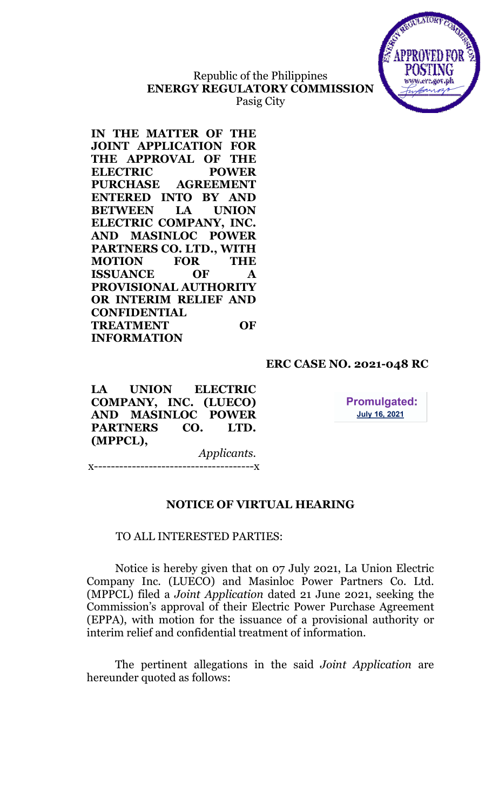

# Republic of the Philippines ENERGY REGULATORY COMMISSION Pasig City

IN THE MATTER OF THE JOINT APPLICATION FOR THE APPROVAL OF THE ELECTRIC POWER PURCHASE AGREEMENT ENTERED INTO BY AND BETWEEN LA UNION ELECTRIC COMPANY, INC. AND MASINLOC POWER PARTNERS CO. LTD., WITH MOTION FOR THE ISSUANCE OF A PROVISIONAL AUTHORITY OR INTERIM RELIEF AND CONFIDENTIAL TREATMENT OF INFORMATION

# ERC CASE NO. 2021-048 RC

LA UNION ELECTRIC COMPANY, INC. (LUECO) AND MASINLOC POWER PARTNERS CO. LTD. (MPPCL),

**Promulgated: July 16, 2021** 

Applicants. x--------------------------------------x

# NOTICE OF VIRTUAL HEARING

## TO ALL INTERESTED PARTIES:

Notice is hereby given that on 07 July 2021, La Union Electric Company Inc. (LUECO) and Masinloc Power Partners Co. Ltd. (MPPCL) filed a Joint Application dated 21 June 2021, seeking the Commission's approval of their Electric Power Purchase Agreement (EPPA), with motion for the issuance of a provisional authority or interim relief and confidential treatment of information.

The pertinent allegations in the said Joint Application are hereunder quoted as follows: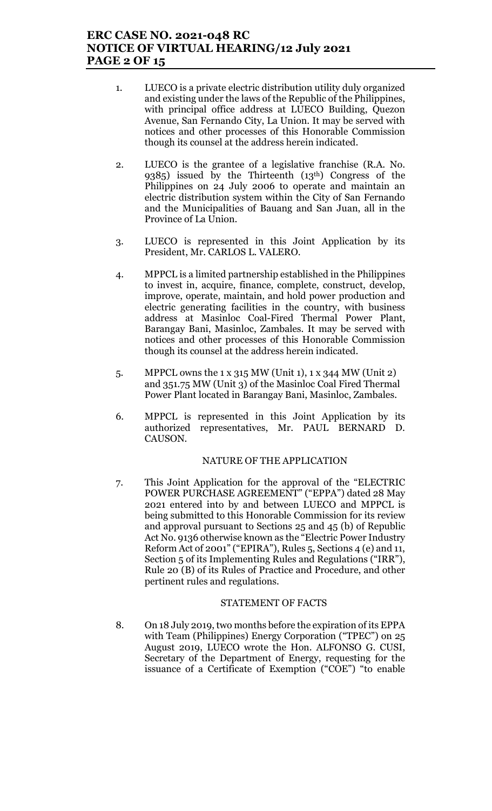# ERC CASE NO. 2021-048 RC NOTICE OF VIRTUAL HEARING/12 July 2021 PAGE 2 OF 15

- 1. LUECO is a private electric distribution utility duly organized and existing under the laws of the Republic of the Philippines, with principal office address at LUECO Building, Quezon Avenue, San Fernando City, La Union. It may be served with notices and other processes of this Honorable Commission though its counsel at the address herein indicated.
- 2. LUECO is the grantee of a legislative franchise (R.A. No. 9385) issued by the Thirteenth (13th) Congress of the Philippines on 24 July 2006 to operate and maintain an electric distribution system within the City of San Fernando and the Municipalities of Bauang and San Juan, all in the Province of La Union.
- 3. LUECO is represented in this Joint Application by its President, Mr. CARLOS L. VALERO.
- 4. MPPCL is a limited partnership established in the Philippines to invest in, acquire, finance, complete, construct, develop, improve, operate, maintain, and hold power production and electric generating facilities in the country, with business address at Masinloc Coal-Fired Thermal Power Plant, Barangay Bani, Masinloc, Zambales. It may be served with notices and other processes of this Honorable Commission though its counsel at the address herein indicated.
- 5. MPPCL owns the 1 x 315 MW (Unit 1), 1 x 344 MW (Unit 2) and 351.75 MW (Unit 3) of the Masinloc Coal Fired Thermal Power Plant located in Barangay Bani, Masinloc, Zambales.
- 6. MPPCL is represented in this Joint Application by its authorized representatives, Mr. PAUL BERNARD D. CAUSON.

## NATURE OF THE APPLICATION

7. This Joint Application for the approval of the "ELECTRIC POWER PURCHASE AGREEMENT" ("EPPA") dated 28 May 2021 entered into by and between LUECO and MPPCL is being submitted to this Honorable Commission for its review and approval pursuant to Sections 25 and 45 (b) of Republic Act No. 9136 otherwise known as the "Electric Power Industry Reform Act of 2001" ("EPIRA"), Rules 5, Sections 4 (e) and 11, Section 5 of its Implementing Rules and Regulations ("IRR"), Rule 20 (B) of its Rules of Practice and Procedure, and other pertinent rules and regulations.

## STATEMENT OF FACTS

8. On 18 July 2019, two months before the expiration of its EPPA with Team (Philippines) Energy Corporation ("TPEC") on 25 August 2019, LUECO wrote the Hon. ALFONSO G. CUSI, Secretary of the Department of Energy, requesting for the issuance of a Certificate of Exemption ("COE") "to enable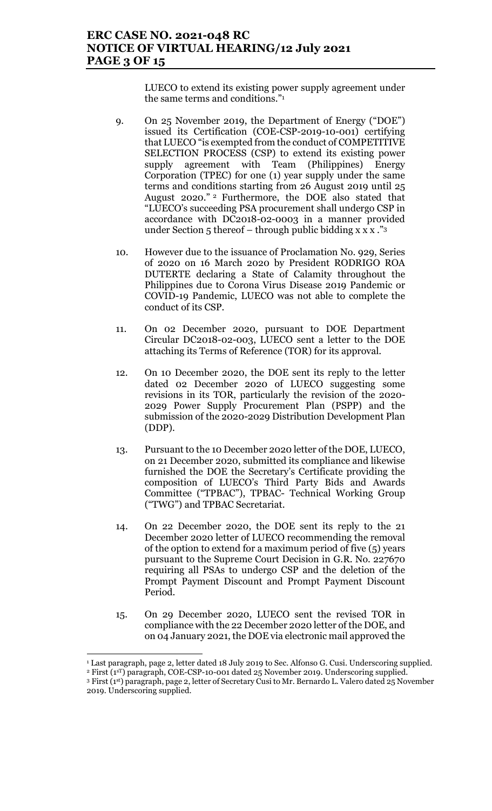# ERC CASE NO. 2021-048 RC NOTICE OF VIRTUAL HEARING/12 July 2021 PAGE 3 OF 15

LUECO to extend its existing power supply agreement under the same terms and conditions."<sup>1</sup>

- 9. On 25 November 2019, the Department of Energy ("DOE") issued its Certification (COE-CSP-2019-10-001) certifying that LUECO "is exempted from the conduct of COMPETITIVE SELECTION PROCESS (CSP) to extend its existing power supply agreement with Team (Philippines) Energy Corporation (TPEC) for one (1) year supply under the same terms and conditions starting from 26 August 2019 until 25 August 2020." <sup>2</sup> Furthermore, the DOE also stated that "LUECO's succeeding PSA procurement shall undergo CSP in accordance with DC2018-02-0003 in a manner provided under Section  $5$  thereof – through public bidding x x x  $\cdot$ "<sup>3</sup>
- 10. However due to the issuance of Proclamation No. 929, Series of 2020 on 16 March 2020 by President RODRIGO ROA DUTERTE declaring a State of Calamity throughout the Philippines due to Corona Virus Disease 2019 Pandemic or COVID-19 Pandemic, LUECO was not able to complete the conduct of its CSP.
- 11. On 02 December 2020, pursuant to DOE Department Circular DC2018-02-003, LUECO sent a letter to the DOE attaching its Terms of Reference (TOR) for its approval.
- 12. On 10 December 2020, the DOE sent its reply to the letter dated 02 December 2020 of LUECO suggesting some revisions in its TOR, particularly the revision of the 2020- 2029 Power Supply Procurement Plan (PSPP) and the submission of the 2020-2029 Distribution Development Plan (DDP).
- 13. Pursuant to the 10 December 2020 letter of the DOE, LUECO, on 21 December 2020, submitted its compliance and likewise furnished the DOE the Secretary's Certificate providing the composition of LUECO's Third Party Bids and Awards Committee ("TPBAC"), TPBAC- Technical Working Group ("TWG") and TPBAC Secretariat.
- 14. On 22 December 2020, the DOE sent its reply to the 21 December 2020 letter of LUECO recommending the removal of the option to extend for a maximum period of five (5) years pursuant to the Supreme Court Decision in G.R. No. 227670 requiring all PSAs to undergo CSP and the deletion of the Prompt Payment Discount and Prompt Payment Discount Period.
- 15. On 29 December 2020, LUECO sent the revised TOR in compliance with the 22 December 2020 letter of the DOE, and on 04 January 2021, the DOE via electronic mail approved the

 1 Last paragraph, page 2, letter dated 18 July 2019 to Sec. Alfonso G. Cusi. Underscoring supplied.

<sup>&</sup>lt;sup>2</sup> First (1<sup>sT</sup>) paragraph, COE-CSP-10-001 dated 25 November 2019. Underscoring supplied. <sup>3</sup> First (1st) paragraph, page 2, letter of Secretary Cusi to Mr. Bernardo L. Valero dated 25 November 2019. Underscoring supplied.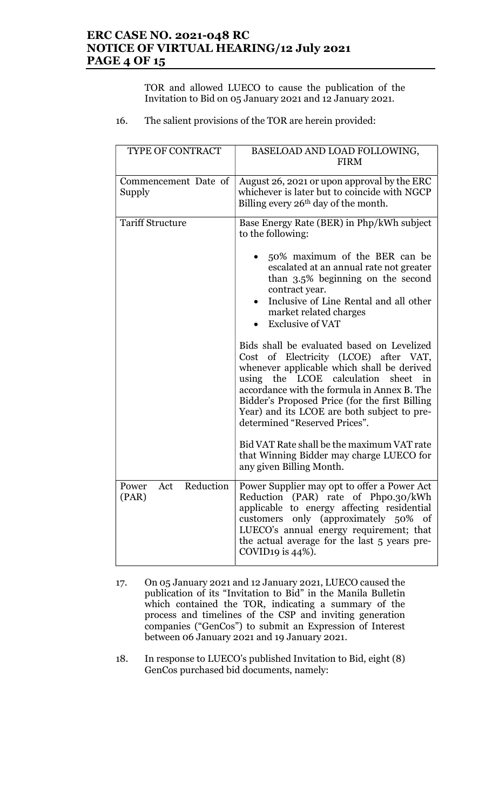# ERC CASE NO. 2021-048 RC NOTICE OF VIRTUAL HEARING/12 July 2021 PAGE 4 OF 15

TOR and allowed LUECO to cause the publication of the Invitation to Bid on 05 January 2021 and 12 January 2021.

16. The salient provisions of the TOR are herein provided:

| TYPE OF CONTRACT                   | BASELOAD AND LOAD FOLLOWING,<br><b>FIRM</b>                                                                                                                                                                                                                                                                                                               |
|------------------------------------|-----------------------------------------------------------------------------------------------------------------------------------------------------------------------------------------------------------------------------------------------------------------------------------------------------------------------------------------------------------|
| Commencement Date of<br>Supply     | August 26, 2021 or upon approval by the ERC<br>whichever is later but to coincide with NGCP<br>Billing every $26th$ day of the month.                                                                                                                                                                                                                     |
| <b>Tariff Structure</b>            | Base Energy Rate (BER) in Php/kWh subject<br>to the following:                                                                                                                                                                                                                                                                                            |
|                                    | 50% maximum of the BER can be<br>escalated at an annual rate not greater<br>than 3.5% beginning on the second<br>contract year.<br>Inclusive of Line Rental and all other<br>market related charges<br><b>Exclusive of VAT</b>                                                                                                                            |
|                                    | Bids shall be evaluated based on Levelized<br>Cost of Electricity (LCOE) after VAT,<br>whenever applicable which shall be derived<br>using the LCOE calculation sheet in<br>accordance with the formula in Annex B. The<br>Bidder's Proposed Price (for the first Billing<br>Year) and its LCOE are both subject to pre-<br>determined "Reserved Prices". |
|                                    | Bid VAT Rate shall be the maximum VAT rate<br>that Winning Bidder may charge LUECO for<br>any given Billing Month.                                                                                                                                                                                                                                        |
| Reduction<br>Power<br>Act<br>(PAR) | Power Supplier may opt to offer a Power Act<br>Reduction (PAR) rate of Phpo.30/kWh<br>applicable to energy affecting residential<br>customers only (approximately 50% of<br>LUECO's annual energy requirement; that<br>the actual average for the last 5 years pre-<br>COVID19 is $44\%$ ).                                                               |

- 17. On 05 January 2021 and 12 January 2021, LUECO caused the publication of its "Invitation to Bid" in the Manila Bulletin which contained the TOR, indicating a summary of the process and timelines of the CSP and inviting generation companies ("GenCos") to submit an Expression of Interest between 06 January 2021 and 19 January 2021.
- 18. In response to LUECO's published Invitation to Bid, eight (8) GenCos purchased bid documents, namely: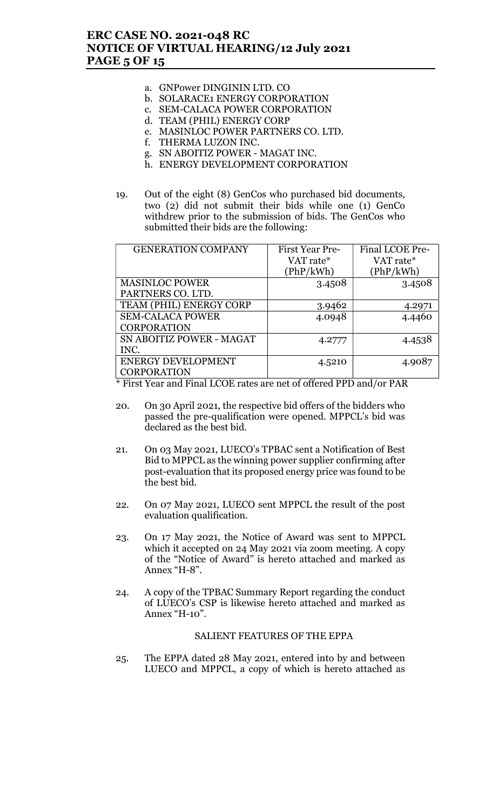# ERC CASE NO. 2021-048 RC NOTICE OF VIRTUAL HEARING/12 July 2021 PAGE 5 OF 15

- a. GNPower DINGININ LTD. CO
- b. SOLARACE1 ENERGY CORPORATION
- c. SEM-CALACA POWER CORPORATION
- d. TEAM (PHIL) ENERGY CORP
- e. MASINLOC POWER PARTNERS CO. LTD.
- f. THERMA LUZON INC.
- g. SN ABOITIZ POWER MAGAT INC.
- h. ENERGY DEVELOPMENT CORPORATION
- 19. Out of the eight (8) GenCos who purchased bid documents, two (2) did not submit their bids while one (1) GenCo withdrew prior to the submission of bids. The GenCos who submitted their bids are the following:

| <b>GENERATION COMPANY</b> | First Year Pre- | Final LCOE Pre- |
|---------------------------|-----------------|-----------------|
|                           | VAT rate*       | VAT rate*       |
|                           | (PhP/kWh)       | (PhP/kWh)       |
| <b>MASINLOC POWER</b>     | 3.4508          | 3.4508          |
| PARTNERS CO. LTD.         |                 |                 |
| TEAM (PHIL) ENERGY CORP   | 3.9462          | 4.2971          |
| <b>SEM-CALACA POWER</b>   | 4.0948          | 4.4460          |
| <b>CORPORATION</b>        |                 |                 |
| SN ABOITIZ POWER - MAGAT  | 4.2777          | 4.4538          |
| INC.                      |                 |                 |
| <b>ENERGY DEVELOPMENT</b> | 4.5210          | 4.9087          |
| <b>CORPORATION</b>        |                 |                 |

\* First Year and Final LCOE rates are net of offered PPD and/or PAR

- 20. On 30 April 2021, the respective bid offers of the bidders who passed the pre-qualification were opened. MPPCL's bid was declared as the best bid.
- 21. On 03 May 2021, LUECO's TPBAC sent a Notification of Best Bid to MPPCL as the winning power supplier confirming after post-evaluation that its proposed energy price was found to be the best bid.
- 22. On 07 May 2021, LUECO sent MPPCL the result of the post evaluation qualification.
- 23. On 17 May 2021, the Notice of Award was sent to MPPCL which it accepted on 24 May 2021 via zoom meeting. A copy of the "Notice of Award" is hereto attached and marked as Annex "H-8".
- 24. A copy of the TPBAC Summary Report regarding the conduct of LUECO's CSP is likewise hereto attached and marked as Annex "H-10".

## SALIENT FEATURES OF THE EPPA

25. The EPPA dated 28 May 2021, entered into by and between LUECO and MPPCL, a copy of which is hereto attached as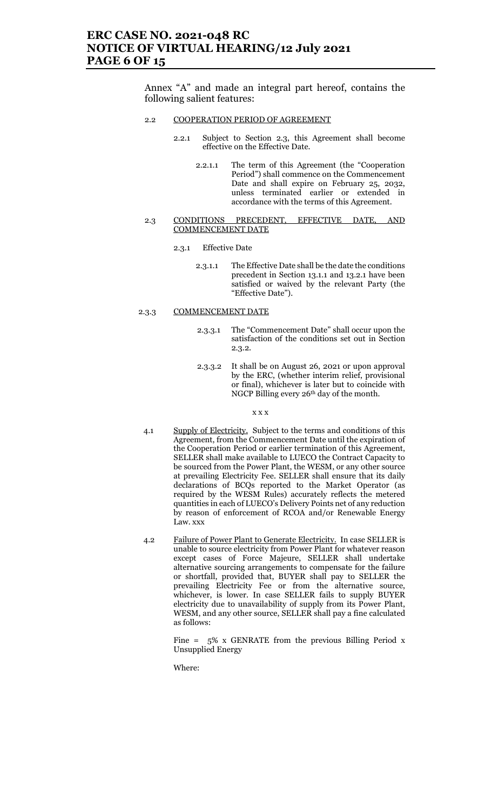## ERC CASE NO. 2021-048 RC NOTICE OF VIRTUAL HEARING/12 July 2021 PAGE 6 OF 15

Annex "A" and made an integral part hereof, contains the following salient features:

#### 2.2 COOPERATION PERIOD OF AGREEMENT

- 2.2.1 Subject to Section 2.3, this Agreement shall become effective on the Effective Date.
	- 2.2.1.1 The term of this Agreement (the "Cooperation Period") shall commence on the Commencement Date and shall expire on February 25, 2032, unless terminated earlier or extended in accordance with the terms of this Agreement.
- 2.3 CONDITIONS PRECEDENT, EFFECTIVE DATE, AND COMMENCEMENT DATE
	- 2.3.1 Effective Date
		- 2.3.1.1 The Effective Date shall be the date the conditions precedent in Section 13.1.1 and 13.2.1 have been satisfied or waived by the relevant Party (the "Effective Date").

### 2.3.3 COMMENCEMENT DATE

- 2.3.3.1 The "Commencement Date" shall occur upon the satisfaction of the conditions set out in Section 2.3.2.
- 2.3.3.2 It shall be on August 26, 2021 or upon approval by the ERC, (whether interim relief, provisional or final), whichever is later but to coincide with NGCP Billing every 26th day of the month.

#### x x x

- 4.1 Supply of Electricity. Subject to the terms and conditions of this Agreement, from the Commencement Date until the expiration of the Cooperation Period or earlier termination of this Agreement, SELLER shall make available to LUECO the Contract Capacity to be sourced from the Power Plant, the WESM, or any other source at prevailing Electricity Fee. SELLER shall ensure that its daily declarations of BCQs reported to the Market Operator (as required by the WESM Rules) accurately reflects the metered quantities in each of LUECO's Delivery Points net of any reduction by reason of enforcement of RCOA and/or Renewable Energy Law. xxx
- 4.2 Failure of Power Plant to Generate Electricity. In case SELLER is unable to source electricity from Power Plant for whatever reason except cases of Force Majeure, SELLER shall undertake alternative sourcing arrangements to compensate for the failure or shortfall, provided that, BUYER shall pay to SELLER the prevailing Electricity Fee or from the alternative source, whichever, is lower. In case SELLER fails to supply BUYER electricity due to unavailability of supply from its Power Plant, WESM, and any other source, SELLER shall pay a fine calculated as follows:

Fine =  $5\%$  x GENRATE from the previous Billing Period x Unsupplied Energy

Where: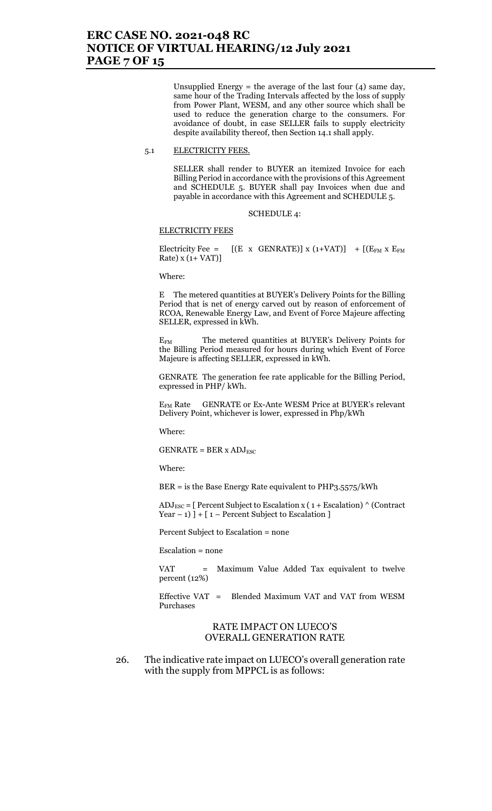Unsupplied Energy  $=$  the average of the last four  $(4)$  same day, same hour of the Trading Intervals affected by the loss of supply from Power Plant, WESM, and any other source which shall be used to reduce the generation charge to the consumers. For avoidance of doubt, in case SELLER fails to supply electricity despite availability thereof, then Section 14.1 shall apply.

#### 5.1 ELECTRICITY FEES.

SELLER shall render to BUYER an itemized Invoice for each Billing Period in accordance with the provisions of this Agreement and SCHEDULE 5. BUYER shall pay Invoices when due and payable in accordance with this Agreement and SCHEDULE 5.

SCHEDULE 4:

#### ELECTRICITY FEES

Electricity Fee =  $[(E \times GENRATE)] \times (1+VAT)] + [(E_{FM} \times E_{FM}$ Rate) x (1+ VAT)]

Where:

E The metered quantities at BUYER's Delivery Points for the Billing Period that is net of energy carved out by reason of enforcement of RCOA, Renewable Energy Law, and Event of Force Majeure affecting SELLER, expressed in kWh.

EFM The metered quantities at BUYER's Delivery Points for the Billing Period measured for hours during which Event of Force Majeure is affecting SELLER, expressed in kWh.

GENRATE The generation fee rate applicable for the Billing Period, expressed in PHP/ kWh.

EFM Rate GENRATE or Ex-Ante WESM Price at BUYER's relevant Delivery Point, whichever is lower, expressed in Php/kWh

Where:

 $GENRATE = BER \times ADJ_{ESC}$ 

Where:

BER = is the Base Energy Rate equivalent to PHP3.5575/kWh

 $ADJ_{\text{ESC}} = [$  Percent Subject to Escalation x (1 + Escalation)  $\wedge$  (Contract Year  $- 1$ ) ] + [1 – Percent Subject to Escalation ]

Percent Subject to Escalation = none

Escalation = none

VAT = Maximum Value Added Tax equivalent to twelve percent (12%)

Effective VAT = Blended Maximum VAT and VAT from WESM Purchases

### RATE IMPACT ON LUECO'S OVERALL GENERATION RATE

26. The indicative rate impact on LUECO's overall generation rate with the supply from MPPCL is as follows: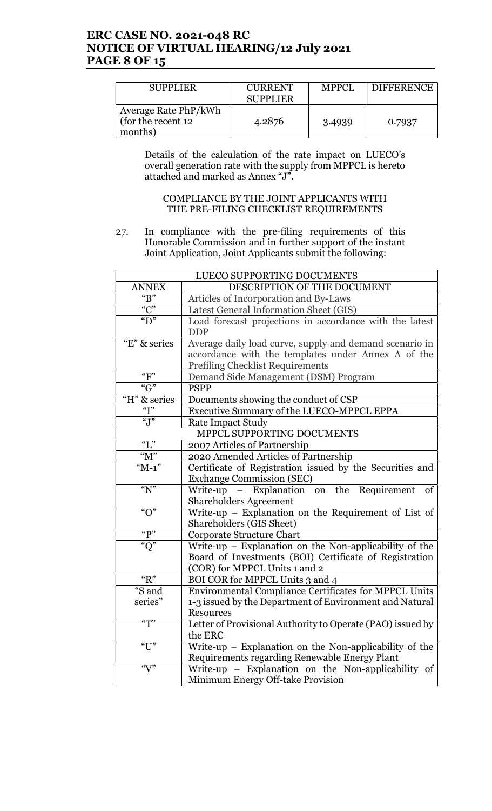# ERC CASE NO. 2021-048 RC NOTICE OF VIRTUAL HEARING/12 July 2021 PAGE 8 OF 15

| <b>SUPPLIER</b>                                        | <b>CURRENT</b><br><b>SUPPLIER</b> | <b>MPPCL</b> | <b>DIFFERENCE</b> |
|--------------------------------------------------------|-----------------------------------|--------------|-------------------|
| Average Rate PhP/kWh<br>(for the recent 12)<br>months) | 4.2876                            | 3.4939       | 0.7937            |

 Details of the calculation of the rate impact on LUECO's overall generation rate with the supply from MPPCL is hereto attached and marked as Annex "J".

## COMPLIANCE BY THE JOINT APPLICANTS WITH THE PRE-FILING CHECKLIST REQUIREMENTS

27. In compliance with the pre-filing requirements of this Honorable Commission and in further support of the instant Joint Application, Joint Applicants submit the following:

| LUECO SUPPORTING DOCUMENTS |                                                            |  |
|----------------------------|------------------------------------------------------------|--|
| ANNEX                      | DESCRIPTION OF THE DOCUMENT                                |  |
| " $B$ "                    | Articles of Incorporation and By-Laws                      |  |
| $\overline{C}$             | Latest General Information Sheet (GIS)                     |  |
| " $D"$                     | Load forecast projections in accordance with the latest    |  |
|                            | <b>DDP</b>                                                 |  |
| "E" & series               | Average daily load curve, supply and demand scenario in    |  |
|                            | accordance with the templates under Annex A of the         |  |
|                            | <b>Prefiling Checklist Requirements</b>                    |  |
| " $F$ "                    | Demand Side Management (DSM) Program                       |  |
| $\overline{G}$             | <b>PSPP</b>                                                |  |
| "H" & series               | Documents showing the conduct of CSP                       |  |
| $\overline{Y}$             | Executive Summary of the LUECO-MPPCL EPPA                  |  |
| $\overline{``J''}$         | Rate Impact Study                                          |  |
| MPPCL SUPPORTING DOCUMENTS |                                                            |  |
| " $L$ "                    | 2007 Articles of Partnership                               |  |
| " $M$ "                    | 2020 Amended Articles of Partnership                       |  |
| " $M-1$ "                  | Certificate of Registration issued by the Securities and   |  |
|                            | <b>Exchange Commission (SEC)</b>                           |  |
| " $N$ "                    | Write-up - Explanation on the Requirement<br>of            |  |
|                            | <b>Shareholders Agreement</b>                              |  |
| " $O$ "                    | Write-up - Explanation on the Requirement of List of       |  |
|                            | Shareholders (GIS Sheet)                                   |  |
| " $P"$                     | Corporate Structure Chart                                  |  |
| " $Q$ "                    | Write-up - Explanation on the Non-applicability of the     |  |
|                            | Board of Investments (BOI) Certificate of Registration     |  |
|                            | (COR) for MPPCL Units 1 and 2                              |  |
| " $R$ "                    | BOI COR for MPPCL Units 3 and 4                            |  |
| "S and                     | Environmental Compliance Certificates for MPPCL Units      |  |
| series"                    | 1-3 issued by the Department of Environment and Natural    |  |
|                            | Resources                                                  |  |
| $\sqrt{\pi}$               | Letter of Provisional Authority to Operate (PAO) issued by |  |
|                            | the ERC                                                    |  |
| " $U$ "                    | Write-up $-$ Explanation on the Non-applicability of the   |  |
|                            | Requirements regarding Renewable Energy Plant              |  |
| $\mathcal{C}$              | Write-up - Explanation on the Non-applicability of         |  |
|                            | Minimum Energy Off-take Provision                          |  |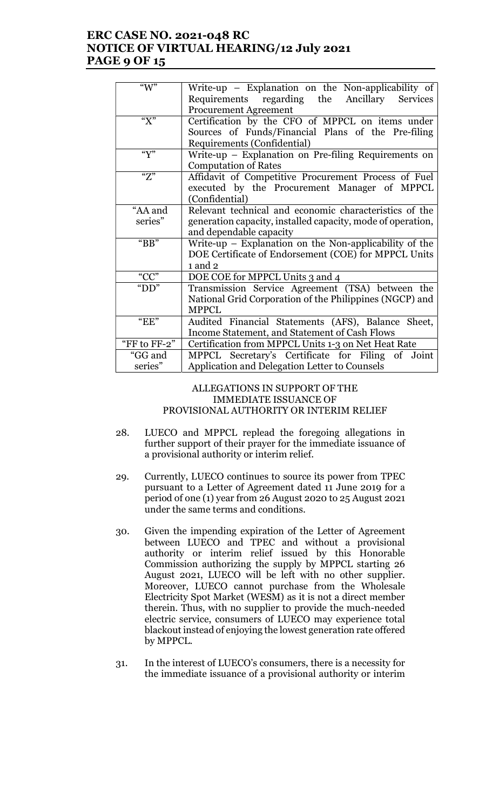# ERC CASE NO. 2021-048 RC NOTICE OF VIRTUAL HEARING/12 July 2021 PAGE 9 OF 15

| " $W$ "                               | Write-up - Explanation on the Non-applicability of          |  |
|---------------------------------------|-------------------------------------------------------------|--|
|                                       | Requirements regarding the Ancillary<br><b>Services</b>     |  |
|                                       | <b>Procurement Agreement</b>                                |  |
| " $X$ "                               | Certification by the CFO of MPPCL on items under            |  |
|                                       | Sources of Funds/Financial Plans of the Pre-filing          |  |
|                                       | Requirements (Confidential)                                 |  |
| $\mathbf{w}$                          | Write-up – Explanation on Pre-filing Requirements on        |  |
|                                       | <b>Computation of Rates</b>                                 |  |
| $\overline{Z}$                        | Affidavit of Competitive Procurement Process of Fuel        |  |
|                                       | executed by the Procurement Manager of MPPCL                |  |
|                                       | (Confidential)                                              |  |
| "AA and                               | Relevant technical and economic characteristics of the      |  |
| series"                               | generation capacity, installed capacity, mode of operation, |  |
|                                       | and dependable capacity                                     |  |
| " $BB"$                               | Write-up $-$ Explanation on the Non-applicability of the    |  |
|                                       | DOE Certificate of Endorsement (COE) for MPPCL Units        |  |
|                                       | $1$ and $2$                                                 |  |
| $\frac{\sqrt{\text{CC}^n}}{\text{D}}$ | DOE COE for MPPCL Units 3 and 4                             |  |
|                                       | Transmission Service Agreement (TSA) between the            |  |
|                                       | National Grid Corporation of the Philippines (NGCP) and     |  |
|                                       | <b>MPPCL</b>                                                |  |
| $E$ $E$ "                             | Audited Financial Statements (AFS), Balance Sheet,          |  |
|                                       | Income Statement, and Statement of Cash Flows               |  |
| "FF to FF-2"                          | Certification from MPPCL Units 1-3 on Net Heat Rate         |  |
| "GG and                               | MPPCL Secretary's Certificate for Filing of Joint           |  |
| series"                               | Application and Delegation Letter to Counsels               |  |
|                                       |                                                             |  |

### ALLEGATIONS IN SUPPORT OF THE IMMEDIATE ISSUANCE OF PROVISIONAL AUTHORITY OR INTERIM RELIEF

- 28. LUECO and MPPCL replead the foregoing allegations in further support of their prayer for the immediate issuance of a provisional authority or interim relief.
- 29. Currently, LUECO continues to source its power from TPEC pursuant to a Letter of Agreement dated 11 June 2019 for a period of one (1) year from 26 August 2020 to 25 August 2021 under the same terms and conditions.
- 30. Given the impending expiration of the Letter of Agreement between LUECO and TPEC and without a provisional authority or interim relief issued by this Honorable Commission authorizing the supply by MPPCL starting 26 August 2021, LUECO will be left with no other supplier. Moreover, LUECO cannot purchase from the Wholesale Electricity Spot Market (WESM) as it is not a direct member therein. Thus, with no supplier to provide the much-needed electric service, consumers of LUECO may experience total blackout instead of enjoying the lowest generation rate offered by MPPCL.
- 31. In the interest of LUECO's consumers, there is a necessity for the immediate issuance of a provisional authority or interim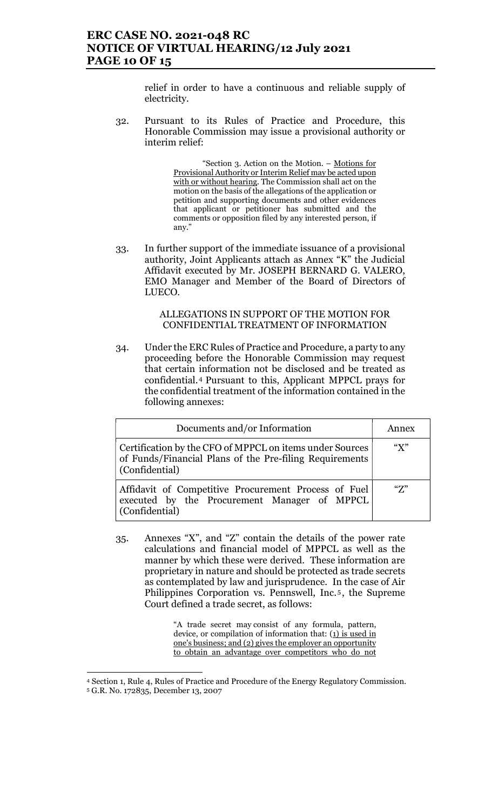# ERC CASE NO. 2021-048 RC NOTICE OF VIRTUAL HEARING/12 July 2021 PAGE 10 OF 15

relief in order to have a continuous and reliable supply of electricity.

32. Pursuant to its Rules of Practice and Procedure, this Honorable Commission may issue a provisional authority or interim relief:

> "Section 3. Action on the Motion. – Motions for Provisional Authority or Interim Relief may be acted upon with or without hearing. The Commission shall act on the motion on the basis of the allegations of the application or petition and supporting documents and other evidences that applicant or petitioner has submitted and the comments or opposition filed by any interested person, if any."

33. In further support of the immediate issuance of a provisional authority, Joint Applicants attach as Annex "K" the Judicial Affidavit executed by Mr. JOSEPH BERNARD G. VALERO, EMO Manager and Member of the Board of Directors of LUECO.

## ALLEGATIONS IN SUPPORT OF THE MOTION FOR CONFIDENTIAL TREATMENT OF INFORMATION

34. Under the ERC Rules of Practice and Procedure, a party to any proceeding before the Honorable Commission may request that certain information not be disclosed and be treated as confidential.4 Pursuant to this, Applicant MPPCL prays for the confidential treatment of the information contained in the following annexes:

| Documents and/or Information                                                                                                          | Annex         |
|---------------------------------------------------------------------------------------------------------------------------------------|---------------|
| Certification by the CFO of MPPCL on items under Sources<br>of Funds/Financial Plans of the Pre-filing Requirements<br>(Confidential) | " $X$ "       |
| Affidavit of Competitive Procurement Process of Fuel<br>executed by the Procurement Manager of MPPCL<br>(Confidential)                | $\mathcal{F}$ |

35. Annexes "X", and "Z" contain the details of the power rate calculations and financial model of MPPCL as well as the manner by which these were derived. These information are proprietary in nature and should be protected as trade secrets as contemplated by law and jurisprudence. In the case of Air Philippines Corporation vs. Pennswell, Inc.<sup>5</sup>, the Supreme Court defined a trade secret, as follows:

> "A trade secret may consist of any formula, pattern, device, or compilation of information that: (1) is used in one's business; and (2) gives the employer an opportunity to obtain an advantage over competitors who do not

<sup>4</sup> Section 1, Rule 4, Rules of Practice and Procedure of the Energy Regulatory Commission. 5 G.R. No. 172835, December 13, 2007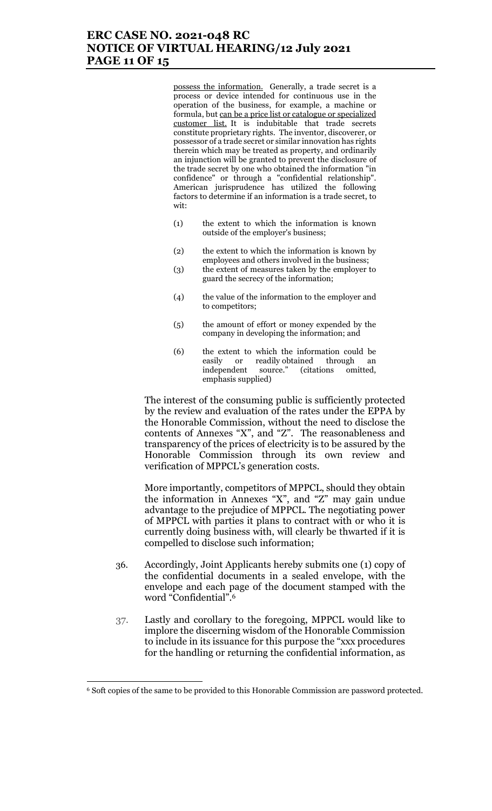## ERC CASE NO. 2021-048 RC NOTICE OF VIRTUAL HEARING/12 July 2021 PAGE 11 OF 15

possess the information. Generally, a trade secret is a process or device intended for continuous use in the operation of the business, for example, a machine or formula, but can be a price list or catalogue or specialized customer list. It is indubitable that trade secrets constitute proprietary rights. The inventor, discoverer, or possessor of a trade secret or similar innovation has rights therein which may be treated as property, and ordinarily an injunction will be granted to prevent the disclosure of the trade secret by one who obtained the information "in confidence" or through a "confidential relationship". American jurisprudence has utilized the following factors to determine if an information is a trade secret, to wit:

- (1) the extent to which the information is known outside of the employer's business;
- (2) the extent to which the information is known by employees and others involved in the business;
- (3) the extent of measures taken by the employer to guard the secrecy of the information;
- (4) the value of the information to the employer and to competitors;
- (5) the amount of effort or money expended by the company in developing the information; and
- (6) the extent to which the information could be easily or readily obtained through an independent source." (citations omitted, emphasis supplied)

The interest of the consuming public is sufficiently protected by the review and evaluation of the rates under the EPPA by the Honorable Commission, without the need to disclose the contents of Annexes "X", and "Z". The reasonableness and transparency of the prices of electricity is to be assured by the Honorable Commission through its own review and verification of MPPCL's generation costs.

More importantly, competitors of MPPCL, should they obtain the information in Annexes "X", and "Z" may gain undue advantage to the prejudice of MPPCL. The negotiating power of MPPCL with parties it plans to contract with or who it is currently doing business with, will clearly be thwarted if it is compelled to disclose such information;

- 36. Accordingly, Joint Applicants hereby submits one (1) copy of the confidential documents in a sealed envelope, with the envelope and each page of the document stamped with the word "Confidential".<sup>6</sup>
- 37. Lastly and corollary to the foregoing, MPPCL would like to implore the discerning wisdom of the Honorable Commission to include in its issuance for this purpose the "xxx procedures for the handling or returning the confidential information, as

<sup>6</sup> Soft copies of the same to be provided to this Honorable Commission are password protected.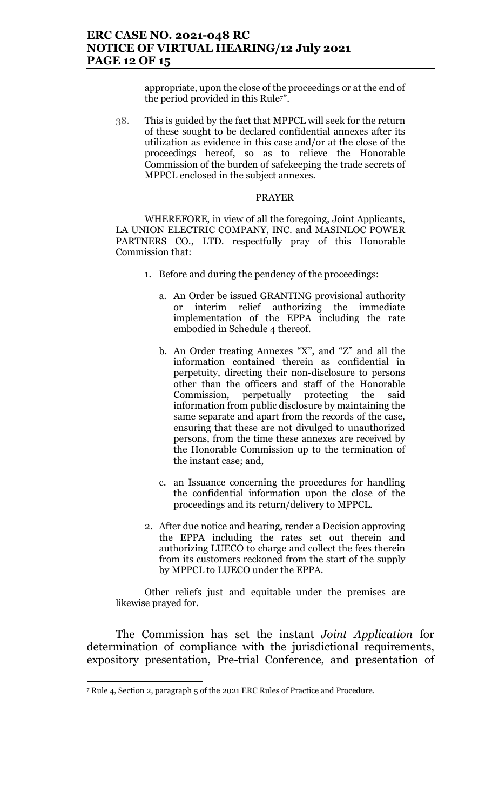appropriate, upon the close of the proceedings or at the end of the period provided in this Rule<sup>7"</sup>.

38. This is guided by the fact that MPPCL will seek for the return of these sought to be declared confidential annexes after its utilization as evidence in this case and/or at the close of the proceedings hereof, so as to relieve the Honorable Commission of the burden of safekeeping the trade secrets of MPPCL enclosed in the subject annexes.

### PRAYER

WHEREFORE, in view of all the foregoing, Joint Applicants, LA UNION ELECTRIC COMPANY, INC. and MASINLOC POWER PARTNERS CO., LTD. respectfully pray of this Honorable Commission that:

- 1. Before and during the pendency of the proceedings:
	- a. An Order be issued GRANTING provisional authority or interim relief authorizing the immediate implementation of the EPPA including the rate embodied in Schedule 4 thereof.
	- b. An Order treating Annexes "X", and "Z" and all the information contained therein as confidential in perpetuity, directing their non-disclosure to persons other than the officers and staff of the Honorable<br>Commission, perpetually protecting the said Commission, perpetually protecting the said information from public disclosure by maintaining the same separate and apart from the records of the case, ensuring that these are not divulged to unauthorized persons, from the time these annexes are received by the Honorable Commission up to the termination of the instant case; and,
	- c. an Issuance concerning the procedures for handling the confidential information upon the close of the proceedings and its return/delivery to MPPCL.
- 2. After due notice and hearing, render a Decision approving the EPPA including the rates set out therein and authorizing LUECO to charge and collect the fees therein from its customers reckoned from the start of the supply by MPPCL to LUECO under the EPPA.

Other reliefs just and equitable under the premises are likewise prayed for.

The Commission has set the instant Joint Application for determination of compliance with the jurisdictional requirements, expository presentation, Pre-trial Conference, and presentation of

<sup>7</sup> Rule 4, Section 2, paragraph 5 of the 2021 ERC Rules of Practice and Procedure.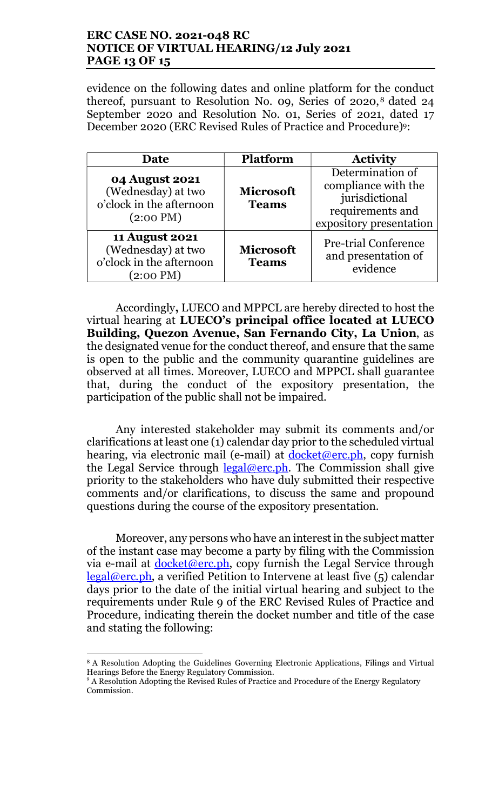# ERC CASE NO. 2021-048 RC NOTICE OF VIRTUAL HEARING/12 July 2021 PAGE 13 OF 15

evidence on the following dates and online platform for the conduct thereof, pursuant to Resolution No. 09, Series of  $2020$ ,<sup>8</sup> dated  $24$ September 2020 and Resolution No. 01, Series of 2021, dated 17 December 2020 (ERC Revised Rules of Practice and Procedure)9:

| Date                                                                                           | <b>Platform</b>                  | <b>Activity</b>                                                                                          |
|------------------------------------------------------------------------------------------------|----------------------------------|----------------------------------------------------------------------------------------------------------|
| <b>04 August 2021</b><br>(Wednesday) at two<br>o'clock in the afternoon<br>$(2:00 \text{ PM})$ | <b>Microsoft</b><br><b>Teams</b> | Determination of<br>compliance with the<br>jurisdictional<br>requirements and<br>expository presentation |
| <b>11 August 2021</b><br>(Wednesday) at two<br>o'clock in the afternoon<br>(2:00 PM)           | <b>Microsoft</b><br><b>Teams</b> | <b>Pre-trial Conference</b><br>and presentation of<br>evidence                                           |

Accordingly, LUECO and MPPCL are hereby directed to host the virtual hearing at LUECO's principal office located at LUECO Building, Quezon Avenue, San Fernando City, La Union, as the designated venue for the conduct thereof, and ensure that the same is open to the public and the community quarantine guidelines are observed at all times. Moreover, LUECO and MPPCL shall guarantee that, during the conduct of the expository presentation, the participation of the public shall not be impaired.

Any interested stakeholder may submit its comments and/or clarifications at least one (1) calendar day prior to the scheduled virtual hearing, via electronic mail (e-mail) at docket@erc.ph, copy furnish the Legal Service through  $\text{legal@erc.ph.}$  The Commission shall give priority to the stakeholders who have duly submitted their respective comments and/or clarifications, to discuss the same and propound questions during the course of the expository presentation.

Moreover, any persons who have an interest in the subject matter of the instant case may become a party by filing with the Commission via e-mail at  $\frac{\text{docket}(\omega \text{erc},ph, \text{copy furnish the Legal Service through})}{\text{dockett}(\omega \text{erc},ph, \text{copy furnish the legal Service through})}$  $legal@erc.ph$ , a verified Petition to Intervene at least five  $(5)$  calendar days prior to the date of the initial virtual hearing and subject to the requirements under Rule 9 of the ERC Revised Rules of Practice and Procedure, indicating therein the docket number and title of the case and stating the following:

 <sup>8</sup> A Resolution Adopting the Guidelines Governing Electronic Applications, Filings and Virtual Hearings Before the Energy Regulatory Commission.

<sup>&</sup>lt;sup>9</sup> A Resolution Adopting the Revised Rules of Practice and Procedure of the Energy Regulatory Commission.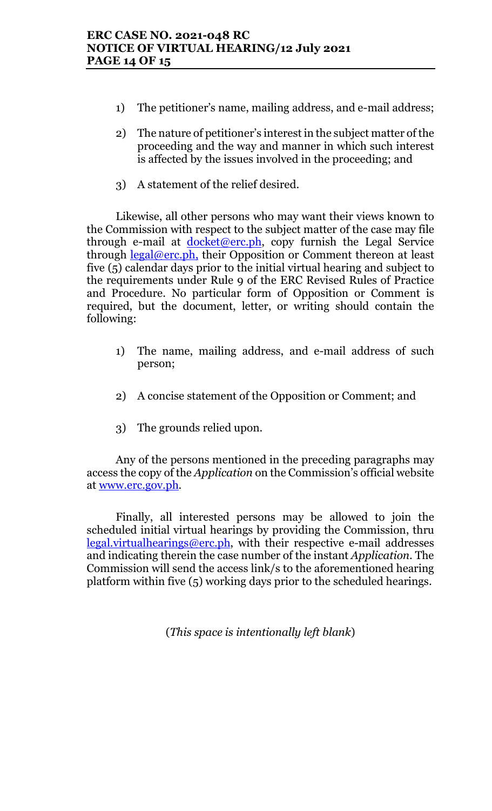- 1) The petitioner's name, mailing address, and e-mail address;
- 2) The nature of petitioner's interest in the subject matter of the proceeding and the way and manner in which such interest is affected by the issues involved in the proceeding; and
- 3) A statement of the relief desired.

Likewise, all other persons who may want their views known to the Commission with respect to the subject matter of the case may file through e-mail at  $docket@erc.ph$ , copy furnish the Legal Service through  $\frac{\text{legal@erc.ph.}}{\text{their } \text{Opposition}}$  or Comment thereon at least five (5) calendar days prior to the initial virtual hearing and subject to the requirements under Rule 9 of the ERC Revised Rules of Practice and Procedure. No particular form of Opposition or Comment is required, but the document, letter, or writing should contain the following:

- 1) The name, mailing address, and e-mail address of such person;
- 2) A concise statement of the Opposition or Comment; and
- 3) The grounds relied upon.

Any of the persons mentioned in the preceding paragraphs may access the copy of the Application on the Commission's official website at <u>www.erc.gov.ph</u>.

Finally, all interested persons may be allowed to join the scheduled initial virtual hearings by providing the Commission, thru  $legal.virtualhearings@erc.ph,$  with their respective e-mail addresses and indicating therein the case number of the instant Application. The Commission will send the access link/s to the aforementioned hearing platform within five (5) working days prior to the scheduled hearings.

(This space is intentionally left blank)